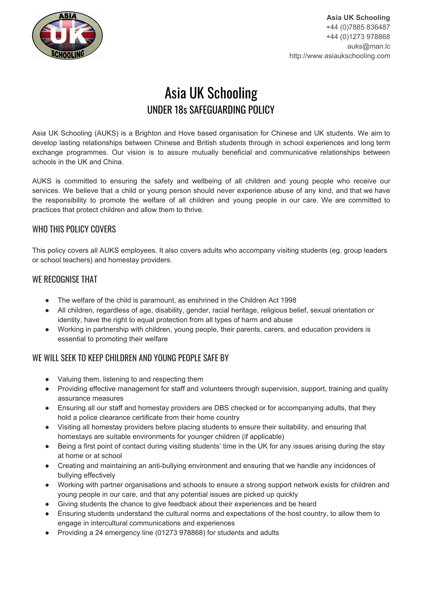

# Asia UK Schooling UNDER 18s SAFEGUARDING POLICY

Asia UK Schooling (AUKS) is a Brighton and Hove based organisation for Chinese and UK students. We aim to develop lasting relationships between Chinese and British students through in school experiences and long term exchange programmes. Our vision is to assure mutually beneficial and communicative relationships between schools in the UK and China.

AUKS is committed to ensuring the safety and wellbeing of all children and young people who receive our services. We believe that a child or young person should never experience abuse of any kind, and that we have the responsibility to promote the welfare of all children and young people in our care. We are committed to practices that protect children and allow them to thrive.

## WHO THIS POLICY COVERS

This policy covers all AUKS employees. It also covers adults who accompany visiting students (eg. group leaders or school teachers) and homestay providers.

## WE RECOGNISE THAT

- The welfare of the child is paramount, as enshrined in the Children Act 1998
- All children, regardless of age, disability, gender, racial heritage, religious belief, sexual orientation or identity, have the right to equal protection from all types of harm and abuse
- Working in partnership with children, young people, their parents, carers, and education providers is essential to promoting their welfare

# WE WILL SEEK TO KEEP CHILDREN AND YOUNG PEOPLE SAFE BY

- Valuing them, listening to and respecting them
- Providing effective management for staff and volunteers through supervision, support, training and quality assurance measures
- Ensuring all our staff and homestay providers are DBS checked or for accompanying adults, that they hold a police clearance certificate from their home country
- Visiting all homestay providers before placing students to ensure their suitability, and ensuring that homestays are suitable environments for younger children (if applicable)
- Being a first point of contact during visiting students' time in the UK for any issues arising during the stay at home or at school
- Creating and maintaining an anti-bullying environment and ensuring that we handle any incidences of bullying effectively
- Working with partner organisations and schools to ensure a strong support network exists for children and young people in our care, and that any potential issues are picked up quickly
- Giving students the chance to give feedback about their experiences and be heard
- Ensuring students understand the cultural norms and expectations of the host country, to allow them to engage in intercultural communications and experiences
- Providing a 24 emergency line (01273 978868) for students and adults